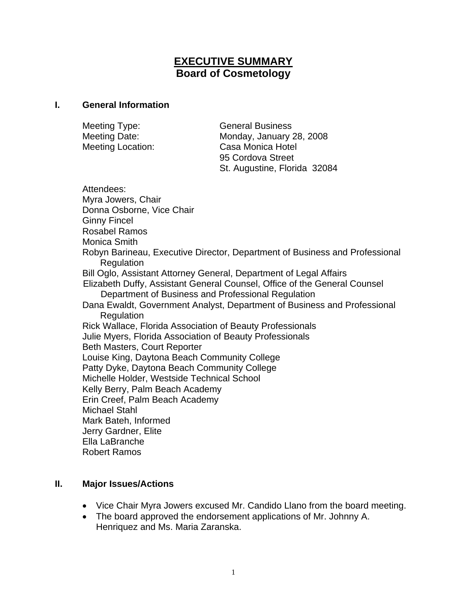# **EXECUTIVE SUMMARY Board of Cosmetology**

### **I. General Information**

| Meeting Type:     | <b>General Business</b>      |
|-------------------|------------------------------|
| Meeting Date:     | Monday, January 28, 2008     |
| Meeting Location: | Casa Monica Hotel            |
|                   | 95 Cordova Street            |
|                   | St. Augustine, Florida 32084 |

Attendees: Myra Jowers, Chair Donna Osborne, Vice Chair Ginny Fincel Rosabel Ramos Monica Smith Robyn Barineau, Executive Director, Department of Business and Professional Regulation Bill Oglo, Assistant Attorney General, Department of Legal Affairs Elizabeth Duffy, Assistant General Counsel, Office of the General Counsel Department of Business and Professional Regulation Dana Ewaldt, Government Analyst, Department of Business and Professional **Regulation** Rick Wallace, Florida Association of Beauty Professionals Julie Myers, Florida Association of Beauty Professionals Beth Masters, Court Reporter Louise King, Daytona Beach Community College Patty Dyke, Daytona Beach Community College Michelle Holder, Westside Technical School Kelly Berry, Palm Beach Academy Erin Creef, Palm Beach Academy Michael Stahl Mark Bateh, Informed Jerry Gardner, Elite Ella LaBranche Robert Ramos

### **II. Major Issues/Actions**

- Vice Chair Myra Jowers excused Mr. Candido Llano from the board meeting.
- The board approved the endorsement applications of Mr. Johnny A. Henriquez and Ms. Maria Zaranska.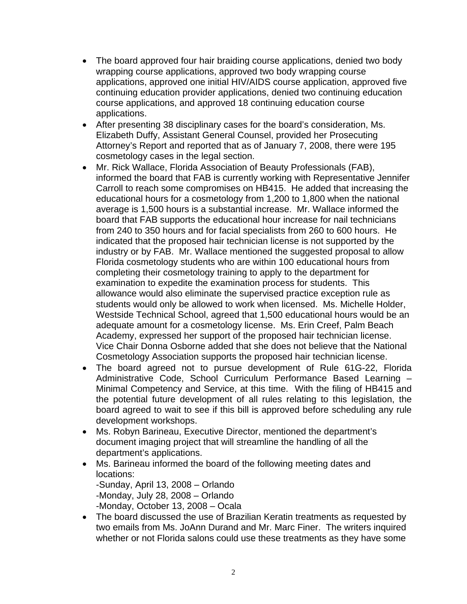- The board approved four hair braiding course applications, denied two body wrapping course applications, approved two body wrapping course applications, approved one initial HIV/AIDS course application, approved five continuing education provider applications, denied two continuing education course applications, and approved 18 continuing education course applications.
- After presenting 38 disciplinary cases for the board's consideration, Ms. Elizabeth Duffy, Assistant General Counsel, provided her Prosecuting Attorney's Report and reported that as of January 7, 2008, there were 195 cosmetology cases in the legal section.
- Mr. Rick Wallace, Florida Association of Beauty Professionals (FAB), informed the board that FAB is currently working with Representative Jennifer Carroll to reach some compromises on HB415. He added that increasing the educational hours for a cosmetology from 1,200 to 1,800 when the national average is 1,500 hours is a substantial increase. Mr. Wallace informed the board that FAB supports the educational hour increase for nail technicians from 240 to 350 hours and for facial specialists from 260 to 600 hours. He indicated that the proposed hair technician license is not supported by the industry or by FAB. Mr. Wallace mentioned the suggested proposal to allow Florida cosmetology students who are within 100 educational hours from completing their cosmetology training to apply to the department for examination to expedite the examination process for students. This allowance would also eliminate the supervised practice exception rule as students would only be allowed to work when licensed. Ms. Michelle Holder, Westside Technical School, agreed that 1,500 educational hours would be an adequate amount for a cosmetology license. Ms. Erin Creef, Palm Beach Academy, expressed her support of the proposed hair technician license. Vice Chair Donna Osborne added that she does not believe that the National Cosmetology Association supports the proposed hair technician license.
- The board agreed not to pursue development of Rule 61G-22, Florida Administrative Code, School Curriculum Performance Based Learning – Minimal Competency and Service, at this time. With the filing of HB415 and the potential future development of all rules relating to this legislation, the board agreed to wait to see if this bill is approved before scheduling any rule development workshops.
- Ms. Robyn Barineau, Executive Director, mentioned the department's document imaging project that will streamline the handling of all the department's applications.
- Ms. Barineau informed the board of the following meeting dates and locations: -Sunday, April 13, 2008 – Orlando -Monday, July 28, 2008 – Orlando -Monday, October 13, 2008 – Ocala
- The board discussed the use of Brazilian Keratin treatments as requested by two emails from Ms. JoAnn Durand and Mr. Marc Finer. The writers inquired whether or not Florida salons could use these treatments as they have some